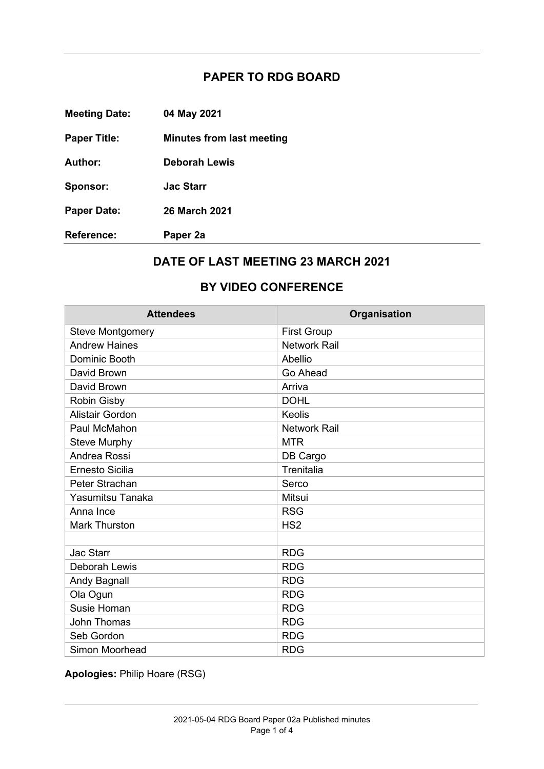## **PAPER TO RDG BOARD**

| <b>Reference:</b>    | Paper 2a                  |
|----------------------|---------------------------|
| <b>Paper Date:</b>   | <b>26 March 2021</b>      |
| Sponsor:             | <b>Jac Starr</b>          |
| Author:              | <b>Deborah Lewis</b>      |
| <b>Paper Title:</b>  | Minutes from last meeting |
| <b>Meeting Date:</b> | 04 May 2021               |

## **DATE OF LAST MEETING 23 MARCH 2021**

## **BY VIDEO CONFERENCE**

| <b>Attendees</b>        | Organisation        |
|-------------------------|---------------------|
| <b>Steve Montgomery</b> | <b>First Group</b>  |
| <b>Andrew Haines</b>    | <b>Network Rail</b> |
| Dominic Booth           | Abellio             |
| David Brown             | Go Ahead            |
| David Brown             | Arriva              |
| <b>Robin Gisby</b>      | <b>DOHL</b>         |
| <b>Alistair Gordon</b>  | <b>Keolis</b>       |
| Paul McMahon            | <b>Network Rail</b> |
| <b>Steve Murphy</b>     | <b>MTR</b>          |
| Andrea Rossi            | DB Cargo            |
| Ernesto Sicilia         | Trenitalia          |
| Peter Strachan          | Serco               |
| Yasumitsu Tanaka        | Mitsui              |
| Anna Ince               | <b>RSG</b>          |
| <b>Mark Thurston</b>    | HS <sub>2</sub>     |
|                         |                     |
| <b>Jac Starr</b>        | <b>RDG</b>          |
| <b>Deborah Lewis</b>    | <b>RDG</b>          |
| <b>Andy Bagnall</b>     | <b>RDG</b>          |
| Ola Ogun                | <b>RDG</b>          |
| Susie Homan             | <b>RDG</b>          |
| <b>John Thomas</b>      | <b>RDG</b>          |
| Seb Gordon              | <b>RDG</b>          |
| Simon Moorhead          | <b>RDG</b>          |

**Apologies:** Philip Hoare (RSG)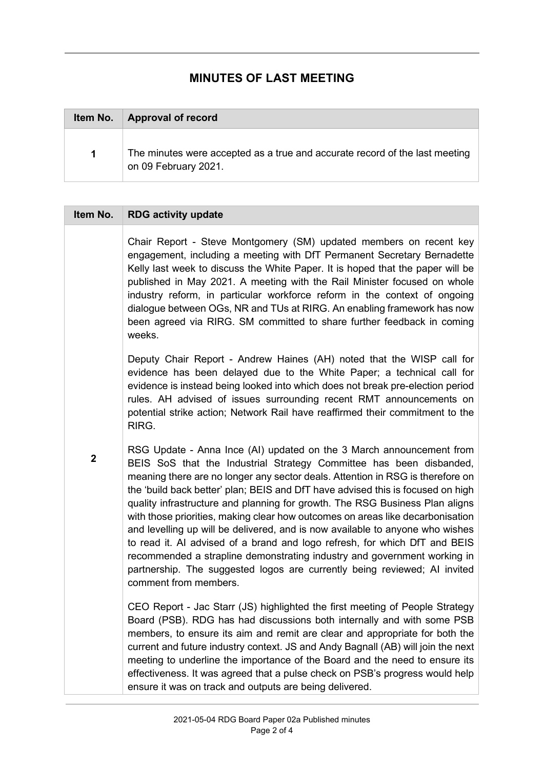## **MINUTES OF LAST MEETING**

| Item No. | <b>Approval of record</b>                                                                           |
|----------|-----------------------------------------------------------------------------------------------------|
| 1        | The minutes were accepted as a true and accurate record of the last meeting<br>on 09 February 2021. |

| Item No.         | <b>RDG activity update</b>                                                                                                                                                                                                                                                                                                                                                                                                                                                                                                                                                                                                                                                                                                                                                                                                          |
|------------------|-------------------------------------------------------------------------------------------------------------------------------------------------------------------------------------------------------------------------------------------------------------------------------------------------------------------------------------------------------------------------------------------------------------------------------------------------------------------------------------------------------------------------------------------------------------------------------------------------------------------------------------------------------------------------------------------------------------------------------------------------------------------------------------------------------------------------------------|
|                  | Chair Report - Steve Montgomery (SM) updated members on recent key<br>engagement, including a meeting with DfT Permanent Secretary Bernadette<br>Kelly last week to discuss the White Paper. It is hoped that the paper will be<br>published in May 2021. A meeting with the Rail Minister focused on whole<br>industry reform, in particular workforce reform in the context of ongoing<br>dialogue between OGs, NR and TUs at RIRG. An enabling framework has now<br>been agreed via RIRG. SM committed to share further feedback in coming<br>weeks.                                                                                                                                                                                                                                                                             |
|                  | Deputy Chair Report - Andrew Haines (AH) noted that the WISP call for<br>evidence has been delayed due to the White Paper; a technical call for<br>evidence is instead being looked into which does not break pre-election period<br>rules. AH advised of issues surrounding recent RMT announcements on<br>potential strike action; Network Rail have reaffirmed their commitment to the<br>RIRG.                                                                                                                                                                                                                                                                                                                                                                                                                                  |
| $\boldsymbol{2}$ | RSG Update - Anna Ince (AI) updated on the 3 March announcement from<br>BEIS SoS that the Industrial Strategy Committee has been disbanded,<br>meaning there are no longer any sector deals. Attention in RSG is therefore on<br>the 'build back better' plan; BEIS and DfT have advised this is focused on high<br>quality infrastructure and planning for growth. The RSG Business Plan aligns<br>with those priorities, making clear how outcomes on areas like decarbonisation<br>and levelling up will be delivered, and is now available to anyone who wishes<br>to read it. Al advised of a brand and logo refresh, for which DfT and BEIS<br>recommended a strapline demonstrating industry and government working in<br>partnership. The suggested logos are currently being reviewed; AI invited<br>comment from members. |
|                  | CEO Report - Jac Starr (JS) highlighted the first meeting of People Strategy<br>Board (PSB). RDG has had discussions both internally and with some PSB<br>members, to ensure its aim and remit are clear and appropriate for both the<br>current and future industry context. JS and Andy Bagnall (AB) will join the next<br>meeting to underline the importance of the Board and the need to ensure its<br>effectiveness. It was agreed that a pulse check on PSB's progress would help<br>ensure it was on track and outputs are being delivered.                                                                                                                                                                                                                                                                                 |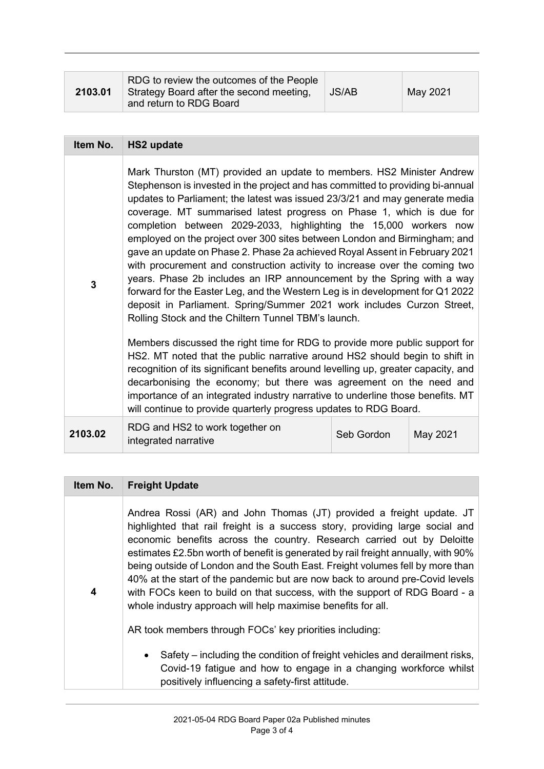| 2103.01 | RDG to review the outcomes of the People<br>Strategy Board after the second meeting,<br>and return to RDG Board | <b>JS/AB</b> | May 2021 |
|---------|-----------------------------------------------------------------------------------------------------------------|--------------|----------|
|---------|-----------------------------------------------------------------------------------------------------------------|--------------|----------|

| Item No. | <b>HS2 update</b>                                                                                                                                                                                                                                                                                                                                                                                                                                                                                                                                                                                                                                                                                                                                                                                                                                                                                                       |            |          |
|----------|-------------------------------------------------------------------------------------------------------------------------------------------------------------------------------------------------------------------------------------------------------------------------------------------------------------------------------------------------------------------------------------------------------------------------------------------------------------------------------------------------------------------------------------------------------------------------------------------------------------------------------------------------------------------------------------------------------------------------------------------------------------------------------------------------------------------------------------------------------------------------------------------------------------------------|------------|----------|
| 3        | Mark Thurston (MT) provided an update to members. HS2 Minister Andrew<br>Stephenson is invested in the project and has committed to providing bi-annual<br>updates to Parliament; the latest was issued 23/3/21 and may generate media<br>coverage. MT summarised latest progress on Phase 1, which is due for<br>completion between 2029-2033, highlighting the 15,000 workers now<br>employed on the project over 300 sites between London and Birmingham; and<br>gave an update on Phase 2. Phase 2a achieved Royal Assent in February 2021<br>with procurement and construction activity to increase over the coming two<br>years. Phase 2b includes an IRP announcement by the Spring with a way<br>forward for the Easter Leg, and the Western Leg is in development for Q1 2022<br>deposit in Parliament. Spring/Summer 2021 work includes Curzon Street,<br>Rolling Stock and the Chiltern Tunnel TBM's launch. |            |          |
|          | Members discussed the right time for RDG to provide more public support for<br>HS2. MT noted that the public narrative around HS2 should begin to shift in<br>recognition of its significant benefits around levelling up, greater capacity, and<br>decarbonising the economy; but there was agreement on the need and<br>importance of an integrated industry narrative to underline those benefits. MT<br>will continue to provide quarterly progress updates to RDG Board.                                                                                                                                                                                                                                                                                                                                                                                                                                           |            |          |
| 2103.02  | RDG and HS2 to work together on<br>integrated narrative                                                                                                                                                                                                                                                                                                                                                                                                                                                                                                                                                                                                                                                                                                                                                                                                                                                                 | Seb Gordon | May 2021 |

| <b>Freight Update</b>                                                                                                                                                                                                                                                                                                                                                                                                                                                                                                                                                                                                              |
|------------------------------------------------------------------------------------------------------------------------------------------------------------------------------------------------------------------------------------------------------------------------------------------------------------------------------------------------------------------------------------------------------------------------------------------------------------------------------------------------------------------------------------------------------------------------------------------------------------------------------------|
| Andrea Rossi (AR) and John Thomas (JT) provided a freight update. JT<br>highlighted that rail freight is a success story, providing large social and<br>economic benefits across the country. Research carried out by Deloitte<br>estimates £2.5bn worth of benefit is generated by rail freight annually, with 90%<br>being outside of London and the South East. Freight volumes fell by more than<br>40% at the start of the pandemic but are now back to around pre-Covid levels<br>with FOCs keen to build on that success, with the support of RDG Board - a<br>whole industry approach will help maximise benefits for all. |
| AR took members through FOCs' key priorities including:                                                                                                                                                                                                                                                                                                                                                                                                                                                                                                                                                                            |
| Safety – including the condition of freight vehicles and derailment risks,<br>$\bullet$<br>Covid-19 fatigue and how to engage in a changing workforce whilst<br>positively influencing a safety-first attitude.                                                                                                                                                                                                                                                                                                                                                                                                                    |
|                                                                                                                                                                                                                                                                                                                                                                                                                                                                                                                                                                                                                                    |